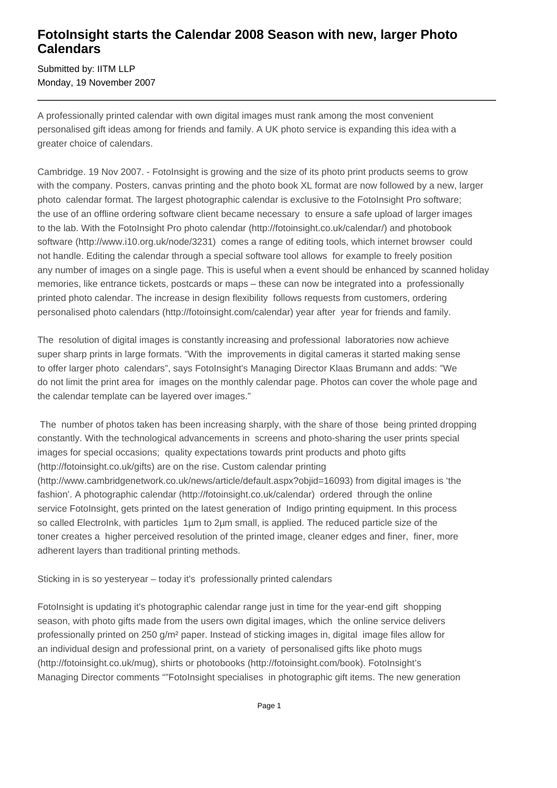## **FotoInsight starts the Calendar 2008 Season with new, larger Photo Calendars**

Submitted by: IITM LLP Monday, 19 November 2007

A professionally printed calendar with own digital images must rank among the most convenient personalised gift ideas among for friends and family. A UK photo service is expanding this idea with a greater choice of calendars.

Cambridge. 19 Nov 2007. - FotoInsight is growing and the size of its photo print products seems to grow with the company. Posters, canvas printing and the photo book XL format are now followed by a new, larger photo calendar format. The largest photographic calendar is exclusive to the FotoInsight Pro software; the use of an offline ordering software client became necessary to ensure a safe upload of larger images to the lab. With the FotoInsight Pro photo calendar (http://fotoinsight.co.uk/calendar/) and photobook software (http://www.i10.org.uk/node/3231) comes a range of editing tools, which internet browser could not handle. Editing the calendar through a special software tool allows for example to freely position any number of images on a single page. This is useful when a event should be enhanced by scanned holiday memories, like entrance tickets, postcards or maps – these can now be integrated into a professionally printed photo calendar. The increase in design flexibility follows requests from customers, ordering personalised photo calendars (http://fotoinsight.com/calendar) year after year for friends and family.

The resolution of digital images is constantly increasing and professional laboratories now achieve super sharp prints in large formats. "With the improvements in digital cameras it started making sense to offer larger photo calendars", says FotoInsight's Managing Director Klaas Brumann and adds: "We do not limit the print area for images on the monthly calendar page. Photos can cover the whole page and the calendar template can be layered over images."

 The number of photos taken has been increasing sharply, with the share of those being printed dropping constantly. With the technological advancements in screens and photo-sharing the user prints special images for special occasions; quality expectations towards print products and photo gifts (http://fotoinsight.co.uk/gifts) are on the rise. Custom calendar printing (http://www.cambridgenetwork.co.uk/news/article/default.aspx?objid=16093) from digital images is 'the fashion'. A photographic calendar (http://fotoinsight.co.uk/calendar) ordered through the online service FotoInsight, gets printed on the latest generation of Indigo printing equipment. In this process so called ElectroInk, with particles 1µm to 2µm small, is applied. The reduced particle size of the toner creates a higher perceived resolution of the printed image, cleaner edges and finer, finer, more adherent layers than traditional printing methods.

Sticking in is so yesteryear – today it's professionally printed calendars

FotoInsight is updating it's photographic calendar range just in time for the year-end gift shopping season, with photo gifts made from the users own digital images, which the online service delivers professionally printed on 250 g/m² paper. Instead of sticking images in, digital image files allow for an individual design and professional print, on a variety of personalised gifts like photo mugs (http://fotoinsight.co.uk/mug), shirts or photobooks (http://fotoinsight.com/book). FotoInsight's Managing Director comments ""FotoInsight specialises in photographic gift items. The new generation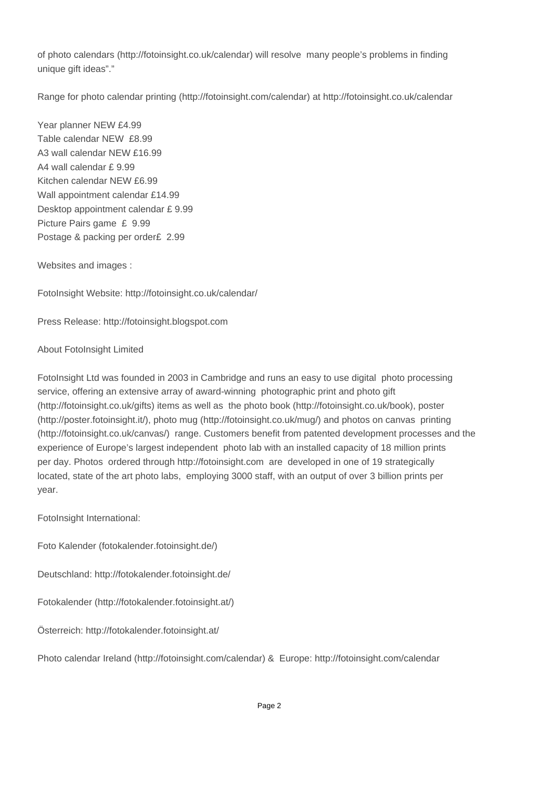of photo calendars (http://fotoinsight.co.uk/calendar) will resolve many people's problems in finding unique gift ideas"."

Range for photo calendar printing (http://fotoinsight.com/calendar) at http://fotoinsight.co.uk/calendar

Year planner NEW £4.99 Table calendar NEW £8.99 A3 wall calendar NEW £16.99 A4 wall calendar £ 9.99 Kitchen calendar NEW £6.99 Wall appointment calendar £14.99 Desktop appointment calendar £ 9.99 Picture Pairs game £ 9.99 Postage & packing per order£ 2.99

Websites and images :

FotoInsight Website: http://fotoinsight.co.uk/calendar/

Press Release: http://fotoinsight.blogspot.com

### About FotoInsight Limited

FotoInsight Ltd was founded in 2003 in Cambridge and runs an easy to use digital photo processing service, offering an extensive array of award-winning photographic print and photo gift (http://fotoinsight.co.uk/gifts) items as well as the photo book (http://fotoinsight.co.uk/book), poster (http://poster.fotoinsight.it/), photo mug (http://fotoinsight.co.uk/mug/) and photos on canvas printing (http://fotoinsight.co.uk/canvas/) range. Customers benefit from patented development processes and the experience of Europe's largest independent photo lab with an installed capacity of 18 million prints per day. Photos ordered through http://fotoinsight.com are developed in one of 19 strategically located, state of the art photo labs, employing 3000 staff, with an output of over 3 billion prints per year.

FotoInsight International:

Foto Kalender (fotokalender.fotoinsight.de/)

Deutschland: http://fotokalender.fotoinsight.de/

Fotokalender (http://fotokalender.fotoinsight.at/)

Österreich: http://fotokalender.fotoinsight.at/

Photo calendar Ireland (http://fotoinsight.com/calendar) & Europe: http://fotoinsight.com/calendar